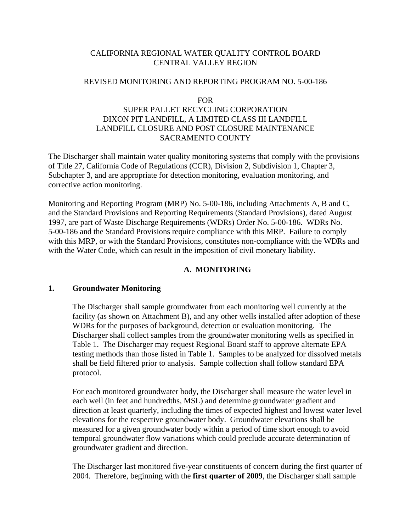## CALIFORNIA REGIONAL WATER QUALITY CONTROL BOARD CENTRAL VALLEY REGION

## REVISED MONITORING AND REPORTING PROGRAM NO. 5-00-186

#### FOR

## SUPER PALLET RECYCLING CORPORATION DIXON PIT LANDFILL, A LIMITED CLASS III LANDFILL LANDFILL CLOSURE AND POST CLOSURE MAINTENANCE SACRAMENTO COUNTY

The Discharger shall maintain water quality monitoring systems that comply with the provisions of Title 27, California Code of Regulations (CCR), Division 2, Subdivision 1, Chapter 3, Subchapter 3, and are appropriate for detection monitoring, evaluation monitoring, and corrective action monitoring.

Monitoring and Reporting Program (MRP) No. 5-00-186, including Attachments A, B and C, and the Standard Provisions and Reporting Requirements (Standard Provisions), dated August 1997, are part of Waste Discharge Requirements (WDRs) Order No. 5-00-186. WDRs No. 5-00-186 and the Standard Provisions require compliance with this MRP. Failure to comply with this MRP, or with the Standard Provisions, constitutes non-compliance with the WDRs and with the Water Code, which can result in the imposition of civil monetary liability.

## **A. MONITORING**

## **1. Groundwater Monitoring**

The Discharger shall sample groundwater from each monitoring well currently at the facility (as shown on Attachment B), and any other wells installed after adoption of these WDRs for the purposes of background, detection or evaluation monitoring. The Discharger shall collect samples from the groundwater monitoring wells as specified in Table 1. The Discharger may request Regional Board staff to approve alternate EPA testing methods than those listed in Table 1. Samples to be analyzed for dissolved metals shall be field filtered prior to analysis. Sample collection shall follow standard EPA protocol.

For each monitored groundwater body, the Discharger shall measure the water level in each well (in feet and hundredths, MSL) and determine groundwater gradient and direction at least quarterly, including the times of expected highest and lowest water level elevations for the respective groundwater body. Groundwater elevations shall be measured for a given groundwater body within a period of time short enough to avoid temporal groundwater flow variations which could preclude accurate determination of groundwater gradient and direction.

The Discharger last monitored five-year constituents of concern during the first quarter of 2004. Therefore, beginning with the **first quarter of 2009**, the Discharger shall sample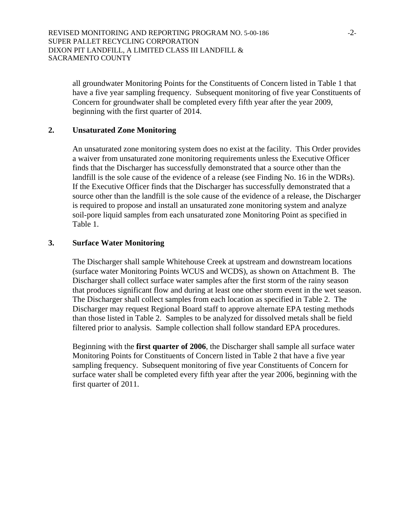all groundwater Monitoring Points for the Constituents of Concern listed in Table 1 that have a five year sampling frequency. Subsequent monitoring of five year Constituents of Concern for groundwater shall be completed every fifth year after the year 2009, beginning with the first quarter of 2014.

### **2. Unsaturated Zone Monitoring**

An unsaturated zone monitoring system does no exist at the facility. This Order provides a waiver from unsaturated zone monitoring requirements unless the Executive Officer finds that the Discharger has successfully demonstrated that a source other than the landfill is the sole cause of the evidence of a release (see Finding No. 16 in the WDRs). If the Executive Officer finds that the Discharger has successfully demonstrated that a source other than the landfill is the sole cause of the evidence of a release, the Discharger is required to propose and install an unsaturated zone monitoring system and analyze soil-pore liquid samples from each unsaturated zone Monitoring Point as specified in Table 1.

### **3. Surface Water Monitoring**

The Discharger shall sample Whitehouse Creek at upstream and downstream locations (surface water Monitoring Points WCUS and WCDS), as shown on Attachment B. The Discharger shall collect surface water samples after the first storm of the rainy season that produces significant flow and during at least one other storm event in the wet season. The Discharger shall collect samples from each location as specified in Table 2. The Discharger may request Regional Board staff to approve alternate EPA testing methods than those listed in Table 2. Samples to be analyzed for dissolved metals shall be field filtered prior to analysis. Sample collection shall follow standard EPA procedures.

Beginning with the **first quarter of 2006**, the Discharger shall sample all surface water Monitoring Points for Constituents of Concern listed in Table 2 that have a five year sampling frequency. Subsequent monitoring of five year Constituents of Concern for surface water shall be completed every fifth year after the year 2006, beginning with the first quarter of 2011.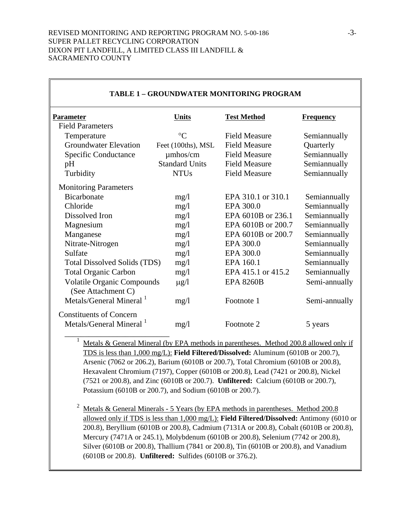| <b>Parameter</b>                                        | <u>Units</u>          | <b>Test Method</b>   | <b>Frequency</b> |
|---------------------------------------------------------|-----------------------|----------------------|------------------|
| <b>Field Parameters</b>                                 |                       |                      |                  |
| Temperature                                             | $\rm ^{\circ}C$       | <b>Field Measure</b> | Semiannually     |
| <b>Groundwater Elevation</b>                            | Feet (100ths), MSL    | <b>Field Measure</b> | Quarterly        |
| Specific Conductance                                    | $\mu$ mhos/cm         | <b>Field Measure</b> | Semiannually     |
| pH                                                      | <b>Standard Units</b> | <b>Field Measure</b> | Semiannually     |
| Turbidity                                               | <b>NTUs</b>           | <b>Field Measure</b> | Semiannually     |
| <b>Monitoring Parameters</b>                            |                       |                      |                  |
| <b>Bicarbonate</b>                                      | mg/1                  | EPA 310.1 or 310.1   | Semiannually     |
| Chloride                                                | mg/1                  | EPA 300.0            | Semiannually     |
| Dissolved Iron                                          | mg/1                  | EPA 6010B or 236.1   | Semiannually     |
| Magnesium                                               | mg/1                  | EPA 6010B or 200.7   | Semiannually     |
| Manganese                                               | mg/1                  | EPA 6010B or 200.7   | Semiannually     |
| Nitrate-Nitrogen                                        | mg/1                  | EPA 300.0            | Semiannually     |
| Sulfate                                                 | mg/1                  | EPA 300.0            | Semiannually     |
| <b>Total Dissolved Solids (TDS)</b>                     | mg/1                  | EPA 160.1            | Semiannually     |
| <b>Total Organic Carbon</b>                             | mg/1                  | EPA 415.1 or 415.2   | Semiannually     |
| <b>Volatile Organic Compounds</b><br>(See Attachment C) | $\mu$ g/l             | <b>EPA 8260B</b>     | Semi-annually    |
| Metals/General Mineral <sup>1</sup>                     | mg/1                  | Footnote 1           | Semi-annually    |
| <b>Constituents of Concern</b>                          |                       |                      |                  |
| Metals/General Mineral 1                                | mg/1                  | Footnote 2           | 5 years          |

#### **TABLE 1 – GROUNDWATER MONITORING PROGRAM**

Metals & General Mineral (by EPA methods in parentheses. Method 200.8 allowed only if TDS is less than 1,000 mg/L): **Field Filtered/Dissolved:** Aluminum (6010B or 200.7), Arsenic (7062 or 206.2), Barium (6010B or 200.7), Total Chromium (6010B or 200.8), Hexavalent Chromium (7197), Copper (6010B or 200.8), Lead (7421 or 200.8), Nickel (7521 or 200.8), and Zinc (6010B or 200.7). **Unfiltered:** Calcium (6010B or 200.7), Potassium (6010B or 200.7), and Sodium (6010B or 200.7).

<sup>2</sup> Metals & General Minerals - 5 Years (by EPA methods in parentheses. Method  $200.8$ allowed only if TDS is less than 1,000 mg/L): **Field Filtered/Dissolved:** Antimony (6010 or 200.8), Beryllium (6010B or 200.8), Cadmium (7131A or 200.8), Cobalt (6010B or 200.8), Mercury (7471A or 245.1), Molybdenum (6010B or 200.8), Selenium (7742 or 200.8), Silver (6010B or 200.8), Thallium (7841 or 200.8), Tin (6010B or 200.8), and Vanadium (6010B or 200.8). **Unfiltered:** Sulfides (6010B or 376.2).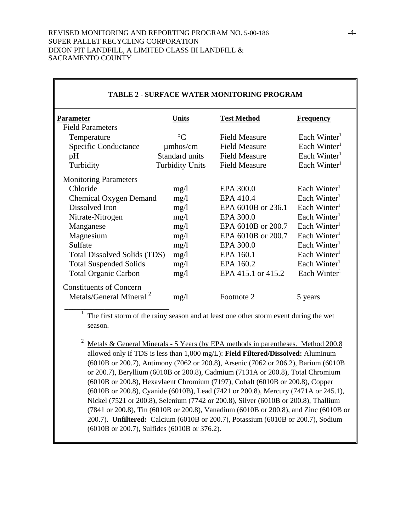| <b>Parameter</b>                                                      | Units                  | <b>Test Method</b>   | <b>Frequency</b>         |
|-----------------------------------------------------------------------|------------------------|----------------------|--------------------------|
| <b>Field Parameters</b>                                               |                        |                      |                          |
| Temperature                                                           | $\rm ^{\circ}C$        | <b>Field Measure</b> | Each Winter <sup>1</sup> |
| <b>Specific Conductance</b>                                           | $\mu$ mhos/cm          | <b>Field Measure</b> | Each Winter $1$          |
| pH                                                                    | Standard units         | <b>Field Measure</b> | Each Winter $1$          |
| Turbidity                                                             | <b>Turbidity Units</b> | <b>Field Measure</b> | Each Winter <sup>1</sup> |
| <b>Monitoring Parameters</b>                                          |                        |                      |                          |
| Chloride                                                              | mg/l                   | EPA 300.0            | Each Winter              |
| <b>Chemical Oxygen Demand</b><br>mg/1                                 |                        | EPA 410.4            | Each Winter <sup>1</sup> |
| Dissolved Iron                                                        | mg/1                   | EPA 6010B or 236.1   | Each Winter $1$          |
| Nitrate-Nitrogen                                                      | mg/1                   | EPA 300.0            | Each Winter <sup>1</sup> |
| Manganese                                                             | mg/1                   | EPA 6010B or 200.7   | Each Winter <sup>1</sup> |
| Magnesium                                                             | mg/1                   | EPA 6010B or 200.7   | Each Winter $1$          |
| Sulfate                                                               | mg/1                   | EPA 300.0            | Each Winter <sup>1</sup> |
| <b>Total Dissolved Solids (TDS)</b>                                   | mg/1                   | EPA 160.1            | Each Winter $1$          |
| <b>Total Suspended Solids</b>                                         | mg/1                   | EPA 160.2            | Each Winter <sup>1</sup> |
| <b>Total Organic Carbon</b>                                           | mg/1                   | EPA 415.1 or 415.2   | Each Winter <sup>1</sup> |
| <b>Constituents of Concern</b><br>Metals/General Mineral <sup>2</sup> | mg/l                   | Footnote 2           | 5 years                  |

# **TABLE 2 - SURFACE WATER MONITORING PROGRAM**

The first storm of the rainy season and at least one other storm event during the wet season.

<sup>2</sup> Metals & General Minerals - 5 Years (by EPA methods in parentheses. Method 200.8 allowed only if TDS is less than 1,000 mg/L): **Field Filtered/Dissolved:** Aluminum (6010B or 200.7), Antimony (7062 or 200.8), Arsenic (7062 or 206.2), Barium (6010B or 200.7), Beryllium (6010B or 200.8), Cadmium (7131A or 200.8), Total Chromium (6010B or 200.8), Hexavlaent Chromium (7197), Cobalt (6010B or 200.8), Copper (6010B or 200.8), Cyanide (6010B), Lead (7421 or 200.8), Mercury (7471A or 245.1), Nickel (7521 or 200.8), Selenium (7742 or 200.8), Silver (6010B or 200.8), Thallium (7841 or 200.8), Tin (6010B or 200.8), Vanadium (6010B or 200.8), and Zinc (6010B or 200.7). **Unfiltered:** Calcium (6010B or 200.7), Potassium (6010B or 200.7), Sodium (6010B or 200.7), Sulfides (6010B or 376.2).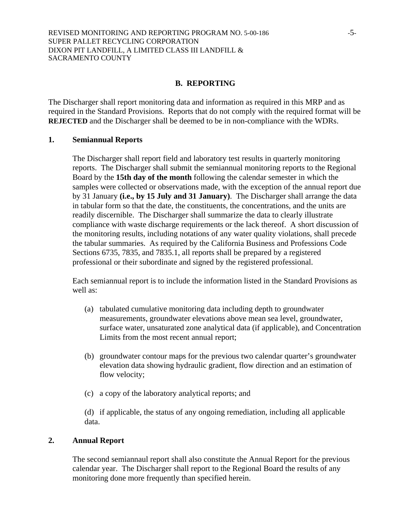#### **B. REPORTING**

The Discharger shall report monitoring data and information as required in this MRP and as required in the Standard Provisions. Reports that do not comply with the required format will be **REJECTED** and the Discharger shall be deemed to be in non-compliance with the WDRs.

#### **1. Semiannual Reports**

The Discharger shall report field and laboratory test results in quarterly monitoring reports. The Discharger shall submit the semiannual monitoring reports to the Regional Board by the **15th day of the month** following the calendar semester in which the samples were collected or observations made, with the exception of the annual report due by 31 January **(i.e., by 15 July and 31 January)**. The Discharger shall arrange the data in tabular form so that the date, the constituents, the concentrations, and the units are readily discernible. The Discharger shall summarize the data to clearly illustrate compliance with waste discharge requirements or the lack thereof. A short discussion of the monitoring results, including notations of any water quality violations, shall precede the tabular summaries. As required by the California Business and Professions Code Sections 6735, 7835, and 7835.1, all reports shall be prepared by a registered professional or their subordinate and signed by the registered professional.

Each semiannual report is to include the information listed in the Standard Provisions as well as:

- (a) tabulated cumulative monitoring data including depth to groundwater measurements, groundwater elevations above mean sea level, groundwater, surface water, unsaturated zone analytical data (if applicable), and Concentration Limits from the most recent annual report;
- (b) groundwater contour maps for the previous two calendar quarter's groundwater elevation data showing hydraulic gradient, flow direction and an estimation of flow velocity;
- (c) a copy of the laboratory analytical reports; and

(d) if applicable, the status of any ongoing remediation, including all applicable data.

## **2. Annual Report**

The second semiannaul report shall also constitute the Annual Report for the previous calendar year. The Discharger shall report to the Regional Board the results of any monitoring done more frequently than specified herein.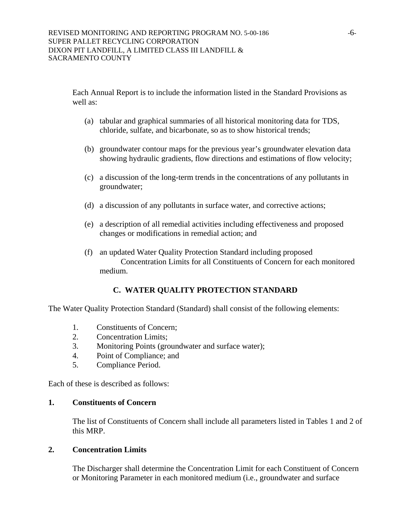Each Annual Report is to include the information listed in the Standard Provisions as well as:

- (a) tabular and graphical summaries of all historical monitoring data for TDS, chloride, sulfate, and bicarbonate, so as to show historical trends;
- (b) groundwater contour maps for the previous year's groundwater elevation data showing hydraulic gradients, flow directions and estimations of flow velocity;
- (c) a discussion of the long-term trends in the concentrations of any pollutants in groundwater;
- (d) a discussion of any pollutants in surface water, and corrective actions;
- (e) a description of all remedial activities including effectiveness and proposed changes or modifications in remedial action; and
- (f) an updated Water Quality Protection Standard including proposed Concentration Limits for all Constituents of Concern for each monitored medium.

# **C. WATER QUALITY PROTECTION STANDARD**

The Water Quality Protection Standard (Standard) shall consist of the following elements:

- 1. Constituents of Concern;
- 2. Concentration Limits;
- 3. Monitoring Points (groundwater and surface water);
- 4. Point of Compliance; and
- 5. Compliance Period.

Each of these is described as follows:

## **1. Constituents of Concern**

The list of Constituents of Concern shall include all parameters listed in Tables 1 and 2 of this MRP.

## **2. Concentration Limits**

The Discharger shall determine the Concentration Limit for each Constituent of Concern or Monitoring Parameter in each monitored medium (i.e., groundwater and surface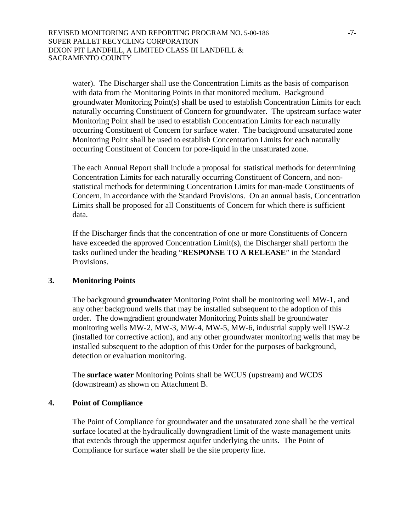water). The Discharger shall use the Concentration Limits as the basis of comparison with data from the Monitoring Points in that monitored medium. Background groundwater Monitoring Point(s) shall be used to establish Concentration Limits for each naturally occurring Constituent of Concern for groundwater. The upstream surface water Monitoring Point shall be used to establish Concentration Limits for each naturally occurring Constituent of Concern for surface water. The background unsaturated zone Monitoring Point shall be used to establish Concentration Limits for each naturally occurring Constituent of Concern for pore-liquid in the unsaturated zone.

The each Annual Report shall include a proposal for statistical methods for determining Concentration Limits for each naturally occurring Constituent of Concern, and nonstatistical methods for determining Concentration Limits for man-made Constituents of Concern, in accordance with the Standard Provisions. On an annual basis, Concentration Limits shall be proposed for all Constituents of Concern for which there is sufficient data.

If the Discharger finds that the concentration of one or more Constituents of Concern have exceeded the approved Concentration Limit(s), the Discharger shall perform the tasks outlined under the heading "**RESPONSE TO A RELEASE**" in the Standard Provisions.

## **3. Monitoring Points**

The background **groundwater** Monitoring Point shall be monitoring well MW-1, and any other background wells that may be installed subsequent to the adoption of this order. The downgradient groundwater Monitoring Points shall be groundwater monitoring wells MW-2, MW-3, MW-4, MW-5, MW-6, industrial supply well ISW-2 (installed for corrective action), and any other groundwater monitoring wells that may be installed subsequent to the adoption of this Order for the purposes of background, detection or evaluation monitoring.

The **surface water** Monitoring Points shall be WCUS (upstream) and WCDS (downstream) as shown on Attachment B.

## **4. Point of Compliance**

The Point of Compliance for groundwater and the unsaturated zone shall be the vertical surface located at the hydraulically downgradient limit of the waste management units that extends through the uppermost aquifer underlying the units. The Point of Compliance for surface water shall be the site property line.